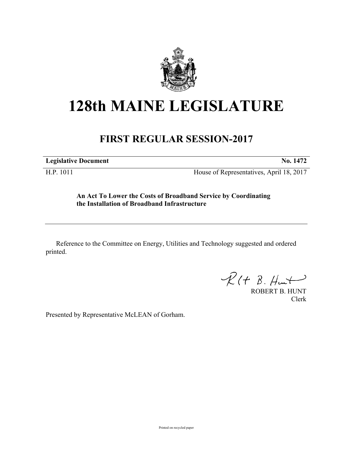

## **128th MAINE LEGISLATURE**

## **FIRST REGULAR SESSION-2017**

**Legislative Document No. 1472**

H.P. 1011 House of Representatives, April 18, 2017

**An Act To Lower the Costs of Broadband Service by Coordinating the Installation of Broadband Infrastructure**

Reference to the Committee on Energy, Utilities and Technology suggested and ordered printed.

 $\mathcal{R}(t \; \mathcal{B}, \mathcal{H}_{\mathsf{int}})$ 

ROBERT B. HUNT Clerk

Presented by Representative McLEAN of Gorham.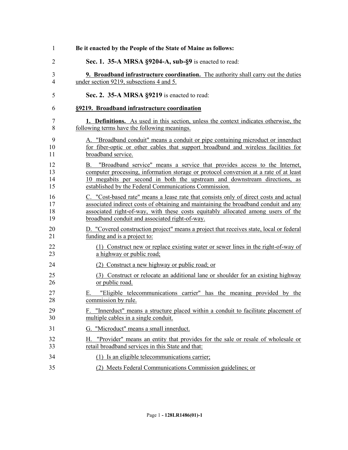| 1              | Be it enacted by the People of the State of Maine as follows:                                                                              |
|----------------|--------------------------------------------------------------------------------------------------------------------------------------------|
| $\overline{2}$ | Sec. 1. 35-A MRSA §9204-A, sub-§9 is enacted to read:                                                                                      |
| 3              | <b>9. Broadband infrastructure coordination.</b> The authority shall carry out the duties                                                  |
| $\overline{4}$ | under section 9219, subsections 4 and 5.                                                                                                   |
| 5              | Sec. 2. 35-A MRSA §9219 is enacted to read:                                                                                                |
| 6              | §9219. Broadband infrastructure coordination                                                                                               |
| 7              | 1. Definitions. As used in this section, unless the context indicates otherwise, the                                                       |
| 8              | following terms have the following meanings.                                                                                               |
| 9              | A. "Broadband conduit" means a conduit or pipe containing microduct or innerduct                                                           |
| 10             | for fiber-optic or other cables that support broadband and wireless facilities for                                                         |
| 11             | broadband service.                                                                                                                         |
| 12             | B. "Broadband service" means a service that provides access to the Internet,                                                               |
| 13             | computer processing, information storage or protocol conversion at a rate of at least                                                      |
| 14             | 10 megabits per second in both the upstream and downstream directions, as                                                                  |
| 15             | established by the Federal Communications Commission.                                                                                      |
| 16             | C. "Cost-based rate" means a lease rate that consists only of direct costs and actual                                                      |
| 17             | associated indirect costs of obtaining and maintaining the broadband conduit and any                                                       |
| 18             | associated right-of-way, with these costs equitably allocated among users of the                                                           |
| 19             | broadband conduit and associated right-of-way.                                                                                             |
| 20             | D. "Covered construction project" means a project that receives state, local or federal                                                    |
| 21             | funding and is a project to:                                                                                                               |
| 22             | (1) Construct new or replace existing water or sewer lines in the right-of-way of                                                          |
| 23             | a highway or public road;                                                                                                                  |
| 24             | (2) Construct a new highway or public road; or                                                                                             |
| 25             | (3) Construct or relocate an additional lane or shoulder for an existing highway                                                           |
| 26             | or public road.                                                                                                                            |
| 27             | E. "Eligible telecommunications carrier" has the meaning provided by the                                                                   |
| 28             | commission by rule.                                                                                                                        |
| 29             | "Innerduct" means a structure placed within a conduit to facilitate placement of                                                           |
| 30             | multiple cables in a single conduit.                                                                                                       |
| 31             | G. "Microduct" means a small innerduct.                                                                                                    |
| 32<br>33       | "Provider" means an entity that provides for the sale or resale of wholesale or<br>Н.<br>retail broadband services in this State and that: |
| 34             | (1) Is an eligible telecommunications carrier;                                                                                             |
| 35             | (2) Meets Federal Communications Commission guidelines; or                                                                                 |